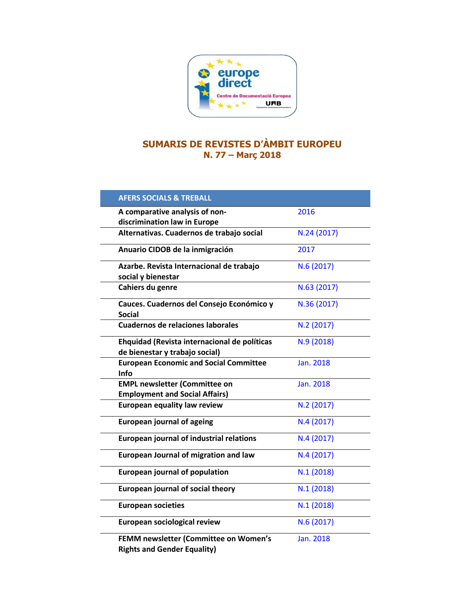

## **SUMARIS DE REVISTES D'ÀMBIT EUROPEU N. 77 – Març 2018**

| <b>AFERS SOCIALS &amp; TREBALL</b>                                             |             |
|--------------------------------------------------------------------------------|-------------|
| A comparative analysis of non-<br>discrimination law in Europe                 | 2016        |
| Alternativas. Cuadernos de trabajo social                                      | N.24 (2017) |
| Anuario CIDOB de la inmigración                                                | 2017        |
| Azarbe. Revista Internacional de trabajo<br>social y bienestar                 | N.6 (2017)  |
| Cahiers du genre                                                               | N.63 (2017) |
| Cauces. Cuadernos del Consejo Económico y<br><b>Social</b>                     | N.36 (2017) |
| <b>Cuadernos de relaciones laborales</b>                                       | N.2 (2017)  |
| Ehquidad (Revista internacional de políticas<br>de bienestar y trabajo social) | N.9 (2018)  |
| <b>European Economic and Social Committee</b><br>Info                          | Jan. 2018   |
| <b>EMPL newsletter (Committee on</b><br><b>Employment and Social Affairs)</b>  | Jan. 2018   |
| <b>European equality law review</b>                                            | N.2 (2017)  |
| <b>European journal of ageing</b>                                              | N.4 (2017)  |
| <b>European journal of industrial relations</b>                                | N.4 (2017)  |
| <b>European Journal of migration and law</b>                                   | N.4 (2017)  |
| <b>European journal of population</b>                                          | N.1(2018)   |
| <b>European journal of social theory</b>                                       | N.1 (2018)  |
| <b>European societies</b>                                                      | N.1(2018)   |
| European sociological review                                                   | N.6 (2017)  |
| FEMM newsletter (Committee on Women's<br><b>Rights and Gender Equality)</b>    | Jan. 2018   |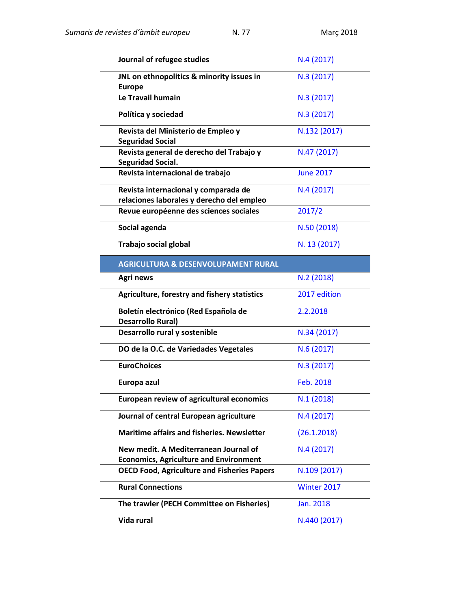| Journal of refugee studies                                                             | N.4 (2017)       |
|----------------------------------------------------------------------------------------|------------------|
| JNL on ethnopolitics & minority issues in<br><b>Europe</b>                             | N.3 (2017)       |
| Le Travail humain                                                                      | N.3 (2017)       |
| Política y sociedad                                                                    | N.3 (2017)       |
| Revista del Ministerio de Empleo y<br><b>Seguridad Social</b>                          | N.132 (2017)     |
| Revista general de derecho del Trabajo y<br><b>Seguridad Social.</b>                   | N.47 (2017)      |
| Revista internacional de trabajo                                                       | <b>June 2017</b> |
| Revista internacional y comparada de<br>relaciones laborales y derecho del empleo      | N.4 (2017)       |
| Revue européenne des sciences sociales                                                 | 2017/2           |
| Social agenda                                                                          | N.50 (2018)      |
| Trabajo social global                                                                  | N. 13 (2017)     |
| <b>AGRICULTURA &amp; DESENVOLUPAMENT RURAL</b>                                         |                  |
| Agri news                                                                              | N.2(2018)        |
| Agriculture, forestry and fishery statistics                                           | 2017 edition     |
| Boletín electrónico (Red Española de<br><b>Desarrollo Rural)</b>                       | 2.2.2018         |
| Desarrollo rural y sostenible                                                          | N.34 (2017)      |
| DO de la O.C. de Variedades Vegetales                                                  | N.6 (2017)       |
| <b>EuroChoices</b>                                                                     | N.3 (2017)       |
| Europa azul                                                                            | <b>Feb. 2018</b> |
| <b>European review of agricultural economics</b>                                       | N.1(2018)        |
| Journal of central European agriculture                                                | N.4 (2017)       |
| <b>Maritime affairs and fisheries. Newsletter</b>                                      | (26.1.2018)      |
| New medit. A Mediterranean Journal of<br><b>Economics, Agriculture and Environment</b> | N.4(2017)        |
| <b>OECD Food, Agriculture and Fisheries Papers</b>                                     | N.109 (2017)     |
| <b>Rural Connections</b>                                                               | Winter 2017      |
| The trawler (PECH Committee on Fisheries)                                              | Jan. 2018        |
| Vida rural                                                                             | N.440 (2017)     |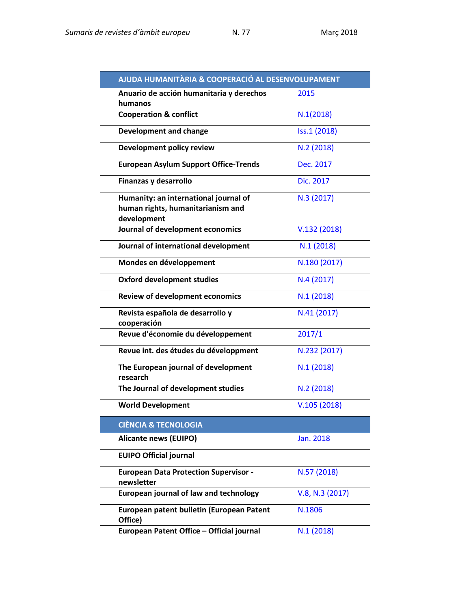| AJUDA HUMANITÀRIA & COOPERACIÓ AL DESENVOLUPAMENT                                         |                 |
|-------------------------------------------------------------------------------------------|-----------------|
| Anuario de acción humanitaria y derechos<br>humanos                                       | 2015            |
| <b>Cooperation &amp; conflict</b>                                                         | N.1(2018)       |
| <b>Development and change</b>                                                             | Iss.1 (2018)    |
| Development policy review                                                                 | N.2 (2018)      |
| <b>European Asylum Support Office-Trends</b>                                              | Dec. 2017       |
| Finanzas y desarrollo                                                                     | Dic. 2017       |
| Humanity: an international journal of<br>human rights, humanitarianism and<br>development | N.3 (2017)      |
| Journal of development economics                                                          | V.132(2018)     |
| Journal of international development                                                      | N.1(2018)       |
| Mondes en développement                                                                   | N.180 (2017)    |
| <b>Oxford development studies</b>                                                         | N.4 (2017)      |
| <b>Review of development economics</b>                                                    | N.1(2018)       |
| Revista española de desarrollo y<br>cooperación                                           | N.41 (2017)     |
| Revue d'économie du développement                                                         | 2017/1          |
| Revue int. des études du développment                                                     | N.232 (2017)    |
| The European journal of development<br>research                                           | N.1(2018)       |
| The Journal of development studies                                                        | N.2(2018)       |
| <b>World Development</b>                                                                  | V.105(2018)     |
| <b>CIÈNCIA &amp; TECNOLOGIA</b>                                                           |                 |
| <b>Alicante news (EUIPO)</b>                                                              | Jan. 2018       |
| <b>EUIPO Official journal</b>                                                             |                 |
| <b>European Data Protection Supervisor -</b><br>newsletter                                | N.57 (2018)     |
| European journal of law and technology                                                    | V.8, N.3 (2017) |
| European patent bulletin (European Patent<br>Office)                                      | N.1806          |
| European Patent Office - Official journal                                                 | N.1(2018)       |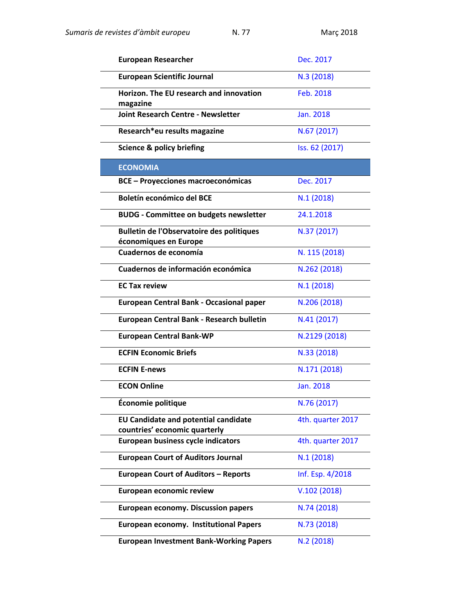| <b>European Researcher</b>                                                   | Dec. 2017         |
|------------------------------------------------------------------------------|-------------------|
| <b>European Scientific Journal</b>                                           | N.3(2018)         |
| Horizon. The EU research and innovation<br>magazine                          | Feb. 2018         |
| <b>Joint Research Centre - Newsletter</b>                                    | Jan. 2018         |
| Research*eu results magazine                                                 | N.67 (2017)       |
| <b>Science &amp; policy briefing</b>                                         | Iss. 62 (2017)    |
| <b>ECONOMIA</b>                                                              |                   |
| <b>BCE - Proyecciones macroeconómicas</b>                                    | Dec. 2017         |
| Boletín económico del BCE                                                    | N.1(2018)         |
| <b>BUDG - Committee on budgets newsletter</b>                                | 24.1.2018         |
| <b>Bulletin de l'Observatoire des politiques</b><br>économiques en Europe    | N.37 (2017)       |
| Cuadernos de economía                                                        | N. 115 (2018)     |
| Cuadernos de información económica                                           | N.262 (2018)      |
| <b>EC Tax review</b>                                                         | N.1(2018)         |
| <b>European Central Bank - Occasional paper</b>                              | N.206 (2018)      |
| European Central Bank - Research bulletin                                    | N.41(2017)        |
| <b>European Central Bank-WP</b>                                              | N.2129 (2018)     |
| <b>ECFIN Economic Briefs</b>                                                 | N.33 (2018)       |
| <b>ECFIN E-news</b>                                                          | N.171 (2018)      |
| <b>ECON Online</b>                                                           | Jan. 2018         |
| Économie politique                                                           | N.76 (2017)       |
| <b>EU Candidate and potential candidate</b><br>countries' economic quarterly | 4th. quarter 2017 |
| <b>European business cycle indicators</b>                                    | 4th. quarter 2017 |
| <b>European Court of Auditors Journal</b>                                    | N.1(2018)         |
| <b>European Court of Auditors - Reports</b>                                  | Inf. Esp. 4/2018  |
| European economic review                                                     | V.102(2018)       |
| <b>European economy. Discussion papers</b>                                   | N.74 (2018)       |
| <b>European economy. Institutional Papers</b>                                | N.73 (2018)       |
| <b>European Investment Bank-Working Papers</b>                               | N.2 (2018)        |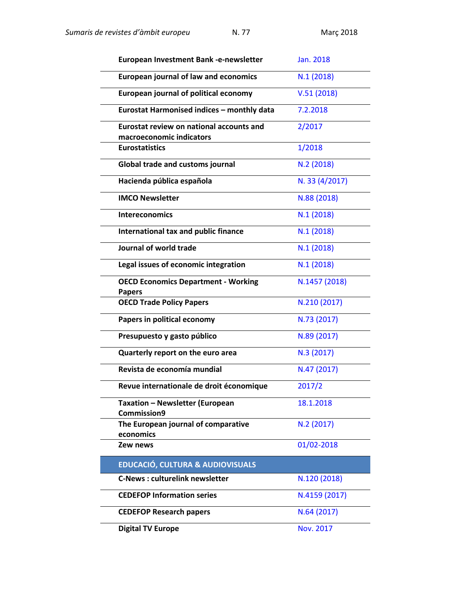| European Investment Bank -e-newsletter                               | Jan. 2018      |
|----------------------------------------------------------------------|----------------|
| <b>European journal of law and economics</b>                         | N.1(2018)      |
| <b>European journal of political economy</b>                         | V.51(2018)     |
| Eurostat Harmonised indices - monthly data                           | 7.2.2018       |
| Eurostat review on national accounts and<br>macroeconomic indicators | 2/2017         |
| <b>Eurostatistics</b>                                                | 1/2018         |
|                                                                      |                |
| <b>Global trade and customs journal</b>                              | N.2(2018)      |
| Hacienda pública española                                            | N. 33 (4/2017) |
| <b>IMCO Newsletter</b>                                               | N.88 (2018)    |
| <b>Intereconomics</b>                                                | N.1(2018)      |
| International tax and public finance                                 | N.1(2018)      |
| Journal of world trade                                               | N.1(2018)      |
| Legal issues of economic integration                                 | N.1(2018)      |
| <b>OECD Economics Department - Working</b><br><b>Papers</b>          | N.1457 (2018)  |
| <b>OECD Trade Policy Papers</b>                                      | N.210 (2017)   |
| Papers in political economy                                          | N.73 (2017)    |
| Presupuesto y gasto público                                          | N.89 (2017)    |
| Quarterly report on the euro area                                    | N.3 (2017)     |
| Revista de economía mundial                                          | N.47 (2017)    |
| Revue internationale de droit économique                             | 2017/2         |
| <b>Taxation - Newsletter (European</b><br>Commission9                | 18.1.2018      |
| The European journal of comparative<br>economics                     | N.2 (2017)     |
| Zew news                                                             | 01/02-2018     |
| <b>EDUCACIÓ, CULTURA &amp; AUDIOVISUALS</b>                          |                |
| <b>C-News: culturelink newsletter</b>                                | N.120 (2018)   |
| <b>CEDEFOP Information series</b>                                    | N.4159 (2017)  |
| <b>CEDEFOP Research papers</b>                                       | N.64 (2017)    |
| <b>Digital TV Europe</b>                                             | Nov. 2017      |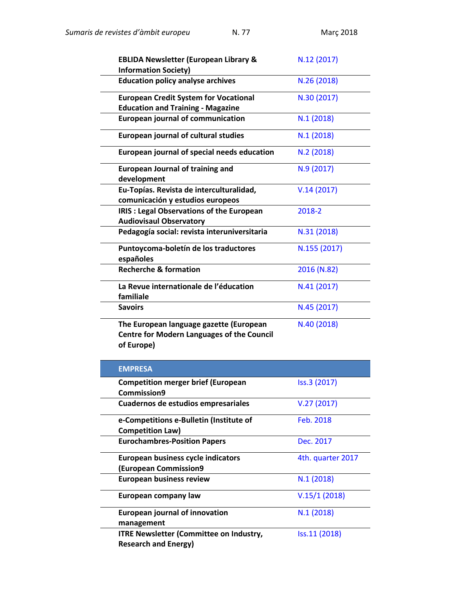| <b>EBLIDA Newsletter (European Library &amp;</b><br><b>Information Society)</b>                            | N.12 (2017)  |
|------------------------------------------------------------------------------------------------------------|--------------|
| <b>Education policy analyse archives</b>                                                                   | N.26 (2018)  |
| <b>European Credit System for Vocational</b><br><b>Education and Training - Magazine</b>                   | N.30 (2017)  |
| <b>European journal of communication</b>                                                                   | N.1(2018)    |
| <b>European journal of cultural studies</b>                                                                | N.1(2018)    |
| European journal of special needs education                                                                | N.2(2018)    |
| <b>European Journal of training and</b><br>development                                                     | N.9 (2017)   |
| Eu-Topías. Revista de interculturalidad,<br>comunicación y estudios europeos                               | V.14(2017)   |
| IRIS : Legal Observations of the European<br><b>Audiovisaul Observatory</b>                                | 2018-2       |
| Pedagogía social: revista interuniversitaria                                                               | N.31 (2018)  |
| Puntoycoma-boletín de los traductores<br>españoles                                                         | N.155 (2017) |
| <b>Recherche &amp; formation</b>                                                                           | 2016 (N.82)  |
| La Revue internationale de l'éducation<br>familiale                                                        | N.41 (2017)  |
| <b>Savoirs</b>                                                                                             | N.45 (2017)  |
| The European language gazette (European<br><b>Centre for Modern Languages of the Council</b><br>of Europe) | N.40 (2018)  |

| <b>EMPRESA</b>                                 |                   |
|------------------------------------------------|-------------------|
| <b>Competition merger brief (European</b>      | Iss.3 (2017)      |
| Commission9                                    |                   |
| Cuadernos de estudios empresariales            | V.27(2017)        |
| e-Competitions e-Bulletin (Institute of        | Feb. 2018         |
| <b>Competition Law)</b>                        |                   |
| <b>Eurochambres-Position Papers</b>            | Dec. 2017         |
| European business cycle indicators             | 4th. quarter 2017 |
| <b>(European Commission9</b>                   |                   |
| <b>European business review</b>                | N.1(2018)         |
| European company law                           | V.15/1(2018)      |
| <b>European journal of innovation</b>          | N.1(2018)         |
| management                                     |                   |
| <b>ITRE Newsletter (Committee on Industry,</b> | Iss.11 (2018)     |
| <b>Research and Energy)</b>                    |                   |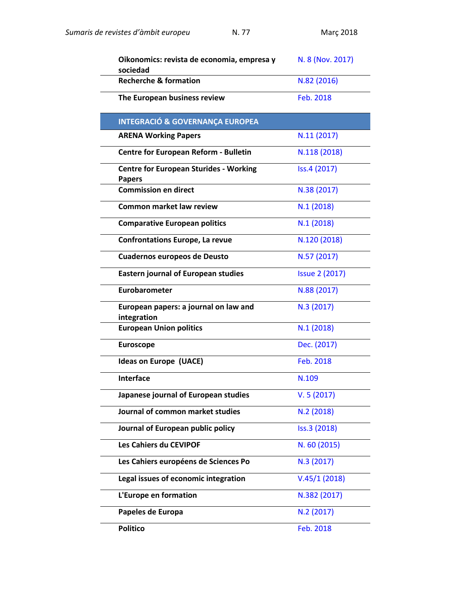| Oikonomics: revista de economia, empresa y<br>sociedad         | N. 8 (Nov. 2017)      |
|----------------------------------------------------------------|-----------------------|
| <b>Recherche &amp; formation</b>                               | N.82 (2016)           |
| The European business review                                   | Feb. 2018             |
| <b>INTEGRACIÓ &amp; GOVERNANÇA EUROPEA</b>                     |                       |
| <b>ARENA Working Papers</b>                                    | N.11(2017)            |
| <b>Centre for European Reform - Bulletin</b>                   | N.118 (2018)          |
| <b>Centre for European Sturides - Working</b><br><b>Papers</b> | Iss.4 (2017)          |
| <b>Commission en direct</b>                                    | N.38 (2017)           |
| <b>Common market law review</b>                                | N.1(2018)             |
| <b>Comparative European politics</b>                           | N.1(2018)             |
| <b>Confrontations Europe, La revue</b>                         | N.120 (2018)          |
| <b>Cuadernos europeos de Deusto</b>                            | N.57 (2017)           |
| <b>Eastern journal of European studies</b>                     | <b>Issue 2 (2017)</b> |
| Eurobarometer                                                  | N.88 (2017)           |
| European papers: a journal on law and<br>integration           | N.3 (2017)            |
| <b>European Union politics</b>                                 | N.1(2018)             |
| <b>Euroscope</b>                                               | Dec. (2017)           |
| Ideas on Europe (UACE)                                         | Feb. 2018             |
| <b>Interface</b>                                               | N.109                 |
| Japanese journal of European studies                           | V.5(2017)             |
| Journal of common market studies                               | N.2 (2018)            |
| Journal of European public policy                              | Iss.3 (2018)          |
| Les Cahiers du CEVIPOF                                         | N. 60 (2015)          |
| Les Cahiers européens de Sciences Po                           | N.3 (2017)            |
| Legal issues of economic integration                           | V.45/1(2018)          |
| L'Europe en formation                                          | N.382 (2017)          |
| Papeles de Europa                                              | N.2(2017)             |
| <b>Politico</b>                                                | Feb. 2018             |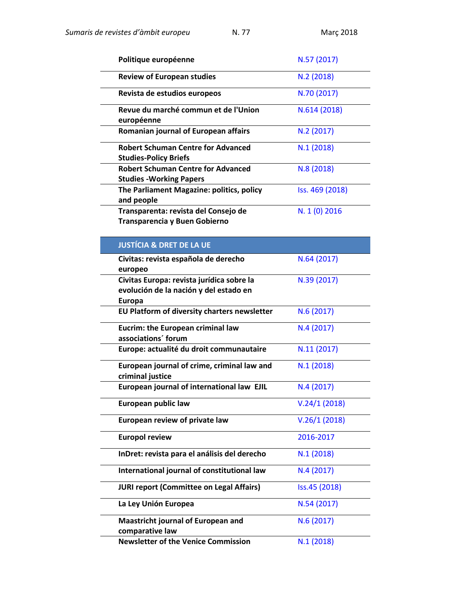| Politique européenne                                                                                 | N.57 (2017)     |
|------------------------------------------------------------------------------------------------------|-----------------|
| <b>Review of European studies</b>                                                                    | N.2(2018)       |
| Revista de estudios europeos                                                                         | N.70 (2017)     |
| Revue du marché commun et de l'Union<br>européenne                                                   | N.614 (2018)    |
| Romanian journal of European affairs                                                                 | N.2 (2017)      |
| <b>Robert Schuman Centre for Advanced</b><br><b>Studies-Policy Briefs</b>                            | N.1(2018)       |
| <b>Robert Schuman Centre for Advanced</b><br><b>Studies - Working Papers</b>                         | N.8(2018)       |
| The Parliament Magazine: politics, policy<br>and people                                              | Iss. 469 (2018) |
| Transparenta: revista del Consejo de<br>Transparencia y Buen Gobierno                                | N. 1 (0) 2016   |
| <b>JUSTÍCIA &amp; DRET DE LA UE</b>                                                                  |                 |
| Civitas: revista española de derecho<br>europeo                                                      | N.64 (2017)     |
| Civitas Europa: revista jurídica sobre la<br>evolución de la nación y del estado en<br><b>Europa</b> | N.39 (2017)     |
| EU Platform of diversity charters newsletter                                                         | N.6 (2017)      |
| Eucrim: the European criminal law<br>associations' forum                                             | N.4(2017)       |
| Europe: actualité du droit communautaire                                                             | N.11(2017)      |
| European journal of crime, criminal law and<br>criminal justice                                      | N.1(2018)       |
| European journal of international law EJIL                                                           | N.4(2017)       |
| European public law                                                                                  | V.24/1(2018)    |
| European review of private law                                                                       | V.26/1(2018)    |
| <b>Europol review</b>                                                                                | 2016-2017       |
| InDret: revista para el análisis del derecho                                                         | N.1(2018)       |
| International journal of constitutional law                                                          | N.4(2017)       |
| <b>JURI report (Committee on Legal Affairs)</b>                                                      | Iss.45 (2018)   |
| La Ley Unión Europea                                                                                 | N.54 (2017)     |
| <b>Maastricht journal of European and</b><br>comparative law                                         | N.6(2017)       |
| <b>Newsletter of the Venice Commission</b>                                                           | N.1(2018)       |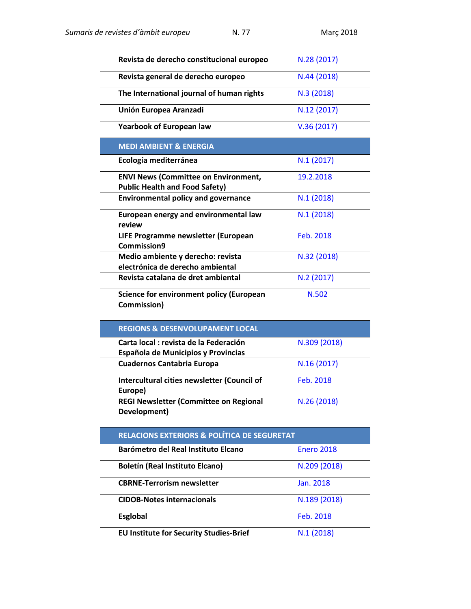| Revista de derecho constitucional europeo                                            | N.28 (2017)       |
|--------------------------------------------------------------------------------------|-------------------|
| Revista general de derecho europeo                                                   | N.44 (2018)       |
| The International journal of human rights                                            | N.3 (2018)        |
| Unión Europea Aranzadi                                                               | N.12 (2017)       |
| <b>Yearbook of European law</b>                                                      | V.36(2017)        |
| <b>MEDI AMBIENT &amp; ENERGIA</b>                                                    |                   |
| Ecología mediterránea                                                                | N.1(2017)         |
| <b>ENVI News (Committee on Environment,</b><br><b>Public Health and Food Safety)</b> | 19.2.2018         |
| <b>Environmental policy and governance</b>                                           | N.1(2018)         |
| European energy and environmental law<br>review                                      | N.1(2018)         |
| LIFE Programme newsletter (European<br>Commission9                                   | Feb. 2018         |
| Medio ambiente y derecho: revista<br>electrónica de derecho ambiental                | N.32 (2018)       |
| Revista catalana de dret ambiental                                                   | N.2(2017)         |
| <b>Science for environment policy (European</b><br>Commission)                       | N.502             |
| <b>REGIONS &amp; DESENVOLUPAMENT LOCAL</b>                                           |                   |
|                                                                                      |                   |
| Carta local : revista de la Federación<br>Española de Municipios y Provincias        | N.309 (2018)      |
| <b>Cuadernos Cantabria Europa</b>                                                    | N.16 (2017)       |
| Intercultural cities newsletter (Council of<br>Europe)                               | Feb. 2018         |
| REGI Newsletter (Committee on Regional<br>Development)                               | N.26 (2018)       |
| <b>RELACIONS EXTERIORS &amp; POLÍTICA DE SEGURETAT</b>                               |                   |
| Barómetro del Real Instituto Elcano                                                  | <b>Enero 2018</b> |
| <b>Boletín (Real Instituto Elcano)</b>                                               | N.209 (2018)      |
| <b>CBRNE-Terrorism newsletter</b>                                                    | Jan. 2018         |
| <b>CIDOB-Notes internacionals</b>                                                    | N.189 (2018)      |
| <b>Esglobal</b>                                                                      | Feb. 2018         |

**EU Institute for Security Studies-Brief N.1 [\(2018\)](https://www.iss.europa.eu/content/revisiting-eu%E2%80%99s-security-partnerships)**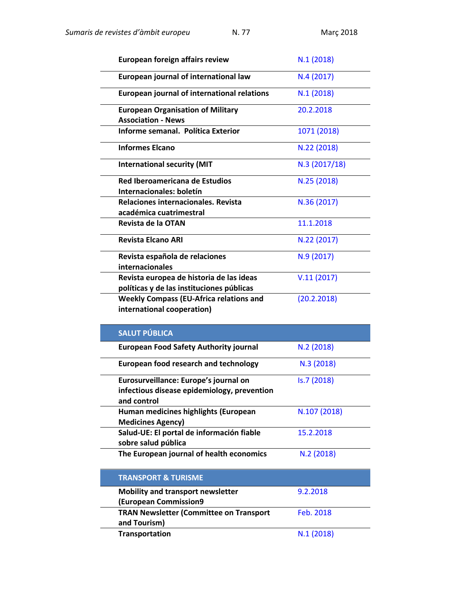| European foreign affairs review                                                       | N.1(2018)    |
|---------------------------------------------------------------------------------------|--------------|
| European journal of international law                                                 | N.4(2017)    |
| European journal of international relations                                           | N.1(2018)    |
| <b>European Organisation of Military</b><br><b>Association - News</b>                 | 20.2.2018    |
| Informe semanal. Política Exterior                                                    | 1071 (2018)  |
| <b>Informes Elcano</b>                                                                | N.22 (2018)  |
| <b>International security (MIT</b>                                                    | N.3(2017/18) |
| Red Iberoamericana de Estudios                                                        | N.25 (2018)  |
| Internacionales: boletín                                                              |              |
| Relaciones internacionales. Revista                                                   | N.36 (2017)  |
| académica cuatrimestral                                                               |              |
| Revista de la OTAN                                                                    | 11.1.2018    |
| <b>Revista Elcano ARI</b>                                                             | N.22 (2017)  |
| Revista española de relaciones<br><b>internacionales</b>                              | N.9 (2017)   |
| Revista europea de historia de las ideas<br>políticas y de las instituciones públicas | V.11(2017)   |
| <b>Weekly Compass (EU-Africa relations and</b><br>international cooperation)          | (20.2.2018)  |

| <b>SALUT PÚBLICA</b>                                             |              |
|------------------------------------------------------------------|--------------|
| <b>European Food Safety Authority journal</b>                    | N.2(2018)    |
| European food research and technology                            | N.3(2018)    |
| Eurosurveillance: Europe's journal on                            | Is.7 (2018)  |
| infectious disease epidemiology, prevention<br>and control       |              |
| Human medicines highlights (European<br><b>Medicines Agency)</b> | N.107 (2018) |
| Salud-UE: El portal de información fiable<br>sobre salud pública | 15.2.2018    |
| The European journal of health economics                         | N.2(2018)    |
| <b>TRANSPORT &amp; TURISME</b>                                   |              |
| <b>Mobility and transport newsletter</b>                         | 9.2.2018     |
| <b>(European Commission9</b>                                     |              |
| <b>TRAN Newsletter (Committee on Transport</b><br>and Tourism)   | Feb. 2018    |
| <b>Transportation</b>                                            | N.1(2018)    |